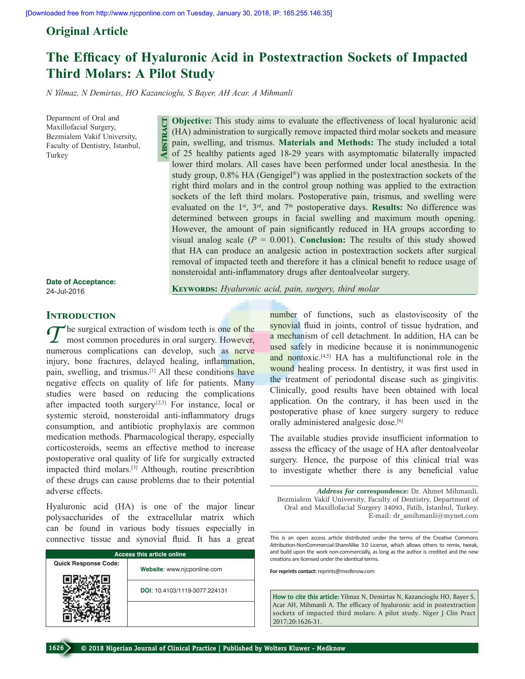## **Original Article**

# **The Efficacy of Hyaluronic Acid in Postextraction Sockets of Impacted Third Molars: A Pilot Study**

*N Yilmaz, N Demirtas, HO Kazancioglu, S Bayer, AH Acar, A Mihmanli*

**Abstract**

Deparment of Oral and Maxillofacial Surgery, Bezmialem Vakif University, Faculty of Dentistry, Istanbul, Turkey

**Objective:** This study aims to evaluate the effectiveness of local hyaluronic acid (HA) administration to surgically remove impacted third molar sockets and measure pain, swelling, and trismus. **Materials and Methods:** The study included a total of 25 healthy patients aged 18-29 years with asymptomatic bilaterally impacted lower third molars. All cases have been performed under local anesthesia. In the study group,  $0.8\%$  HA (Gengigel<sup>®</sup>) was applied in the postextraction sockets of the right third molars and in the control group nothing was applied to the extraction sockets of the left third molars. Postoperative pain, trismus, and swelling were evaluated on the 1<sup>st</sup>, 3<sup>rd</sup>, and 7<sup>th</sup> postoperative days. Results: No difference was determined between groups in facial swelling and maximum mouth opening. However, the amount of pain significantly reduced in HA groups according to visual analog scale  $(P = 0.001)$ . **Conclusion:** The results of this study showed that HA can produce an analgesic action in postextraction sockets after surgical removal of impacted teeth and therefore it has a clinical benefit to reduce usage of nonsteroidal anti-inflammatory drugs after dentoalveolar surgery.

#### **Date of Acceptance:** 24-Jul-2016

**Keywords:** *Hyaluronic acid, pain, surgery, third molar* 

### **INTRODUCTION**

*T* he surgical extraction of wisdom teeth is one of the most common procedures in oral surgery. However, numerous complications can develop, such as nerve injury, bone fractures, delayed healing, inflammation, pain, swelling, and trismus.[1] All these conditions have negative effects on quality of life for patients. Many studies were based on reducing the complications after impacted tooth surgery $[2,3]$  For instance, local or systemic steroid, nonsteroidal anti-inflammatory drugs consumption, and antibiotic prophylaxis are common medication methods. Pharmacological therapy, especially corticosteroids, seems an effective method to increase postoperative oral quality of life for surgically extracted impacted third molars.[3] Although, routine prescribtion of these drugs can cause problems due to their potential adverse effects.

Hyaluronic acid (HA) is one of the major linear polysaccharides of the extracellular matrix which can be found in various body tissues especially in connective tissue and synovial fluid. It has a great

| <b>Access this article online</b> |                               |  |  |
|-----------------------------------|-------------------------------|--|--|
| <b>Quick Response Code:</b>       | Website: www.njcponline.com   |  |  |
|                                   | DOI: 10.4103/1119-3077.224131 |  |  |
|                                   |                               |  |  |

number of functions, such as elastoviscosity of the synovial fluid in joints, control of tissue hydration, and a mechanism of cell detachment. In addition, HA can be used safely in medicine because it is nonimmunogenic and nontoxic.<sup>[4,5]</sup> HA has a multifunctional role in the wound healing process. In dentistry, it was first used in the treatment of periodontal disease such as gingivitis. Clinically, good results have been obtained with local application. On the contrary, it has been used in the postoperative phase of knee surgery surgery to reduce orally administered analgesic dose.<sup>[6]</sup>

The available studies provide insufficient information to assess the efficacy of the usage of HA after dentoalveolar surgery. Hence, the purpose of this clinical trial was to investigate whether there is any beneficial value

*Address for* **correspondence:** Dr. Ahmet Mihmanli, Bezmialem Vakif University, Faculty of Dentistry, Department of Oral and Maxillofacial Surgery 34093, Fatih, Istanbul, Turkey. E-mail: dr\_amihmanli@mynet.com

This is an open access article distributed under the terms of the Creative Commons Attribution-NonCommercial-ShareAlike 3.0 License, which allows others to remix, tweak, and build upon the work non-commercially, as long as the author is credited and the new creations are licensed under the identical terms.

**For reprints contact:** reprints@medknow.com

**How to cite this article:** Yilmaz N, Demirtas N, Kazancioglu HO, Bayer S, Acar AH, Mihmanli A. The efficacy of hyaluronic acid in postextraction sockets of impacted third molars: A pilot study. Niger J Clin Pract 2017;20:1626-31.

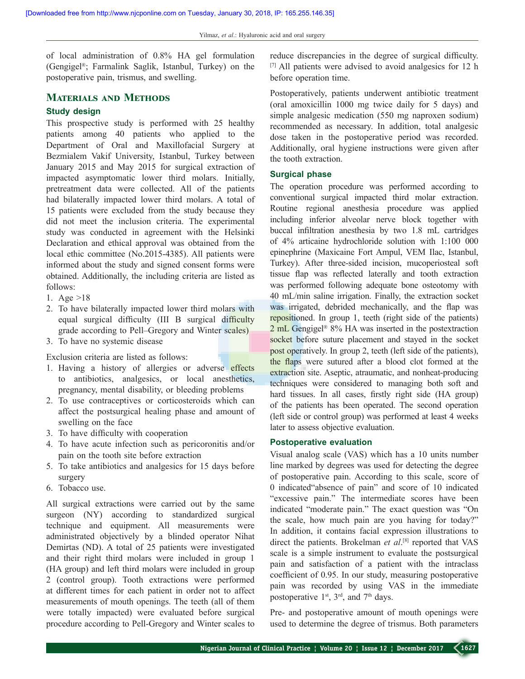of local administration of 0.8% HA gel formulation (Gengigel®; Farmalink Saglik, Istanbul, Turkey) on the postoperative pain, trismus, and swelling.

## **Materials and Methods**

## **Study design**

This prospective study is performed with 25 healthy patients among 40 patients who applied to the Department of Oral and Maxillofacial Surgery at Bezmialem Vakif University, Istanbul, Turkey between January 2015 and May 2015 for surgical extraction of impacted asymptomatic lower third molars. Initially, pretreatment data were collected. All of the patients had bilaterally impacted lower third molars. A total of 15 patients were excluded from the study because they did not meet the inclusion criteria. The experimental study was conducted in agreement with the Helsinki Declaration and ethical approval was obtained from the local ethic committee (No.2015-4385). All patients were informed about the study and signed consent forms were obtained. Additionally, the including criteria are listed as follows:

- 1. Age >18
- 2. To have bilaterally impacted lower third molars with equal surgical difficulty (III B surgical difficulty grade according to Pell–Gregory and Winter scales)
- 3. To have no systemic disease

Exclusion criteria are listed as follows:

- 1. Having a history of allergies or adverse effects to antibiotics, analgesics, or local anesthetics, pregnancy, mental disability, or bleeding problems
- 2. To use contraceptives or corticosteroids which can affect the postsurgical healing phase and amount of swelling on the face
- 3. To have difficulty with cooperation
- 4. To have acute infection such as pericoronitis and/or pain on the tooth site before extraction
- 5. To take antibiotics and analgesics for 15 days before surgery
- 6. Tobacco use.

All surgical extractions were carried out by the same surgeon (NY) according to standardized surgical technique and equipment. All measurements were administrated objectively by a blinded operator Nihat Demirtas (ND). A total of 25 patients were investigated and their right third molars were included in group 1 (HA group) and left third molars were included in group 2 (control group). Tooth extractions were performed at different times for each patient in order not to affect measurements of mouth openings. The teeth (all of them were totally impacted) were evaluated before surgical procedure according to Pell-Gregory and Winter scales to

reduce discrepancies in the degree of surgical difficulty. [7] All patients were advised to avoid analgesics for 12 h before operation time.

Postoperatively, patients underwent antibiotic treatment (oral amoxicillin 1000 mg twice daily for 5 days) and simple analgesic medication (550 mg naproxen sodium) recommended as necessary. In addition, total analgesic dose taken in the postoperative period was recorded. Additionally, oral hygiene instructions were given after the tooth extraction.

#### **Surgical phase**

The operation procedure was performed according to conventional surgical impacted third molar extraction. Routine regional anesthesia procedure was applied including inferior alveolar nerve block together with buccal infiltration anesthesia by two 1.8 mL cartridges of 4% articaine hydrochloride solution with 1:100 000 epinephrine (Maxicaine Fort Ampul, VEM Ilac, Istanbul, Turkey). After three-sided incision, mucoperiosteal soft tissue flap was reflected laterally and tooth extraction was performed following adequate bone osteotomy with 40 mL/min saline irrigation. Finally, the extraction socket was irrigated, debrided mechanically, and the flap was repositioned. In group 1, teeth (right side of the patients) 2 mL Gengigel<sup>®</sup> 8% HA was inserted in the postextraction socket before suture placement and stayed in the socket post operatively. In group 2, teeth (left side of the patients), the flaps were sutured after a blood clot formed at the extraction site. Aseptic, atraumatic, and nonheat-producing techniques were considered to managing both soft and hard tissues. In all cases, firstly right side (HA group) of the patients has been operated. The second operation (left side or control group) was performed at least 4 weeks later to assess objective evaluation.

#### **Postoperative evaluation**

Visual analog scale (VAS) which has a 10 units number line marked by degrees was used for detecting the degree of postoperative pain. According to this scale, score of 0 indicated"absence of pain" and score of 10 indicated "excessive pain." The intermediate scores have been indicated "moderate pain." The exact question was "On the scale, how much pain are you having for today?" In addition, it contains facial expression illustrations to direct the patients. Brokelman *et al*. [8] reported that VAS scale is a simple instrument to evaluate the postsurgical pain and satisfaction of a patient with the intraclass coefficient of 0.95. In our study, measuring postoperative pain was recorded by using VAS in the immediate postoperative  $1<sup>st</sup>$ ,  $3<sup>rd</sup>$ , and  $7<sup>th</sup>$  days.

Pre- and postoperative amount of mouth openings were used to determine the degree of trismus. Both parameters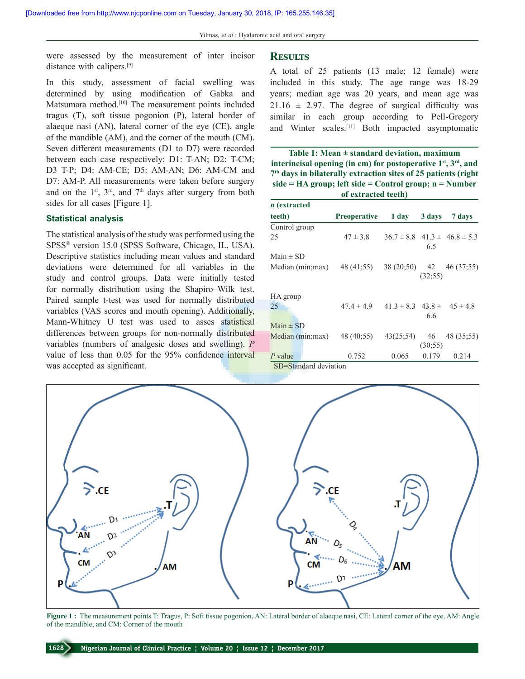were assessed by the measurement of inter incisor distance with calipers.[9]

## In this study, assessment of facial swelling was determined by using modification of Gabka and Matsumara method.<sup>[10]</sup> The measurement points included tragus (T), soft tissue pogonion (P), lateral border of alaeque nasi (AN), lateral corner of the eye (CE), angle of the mandible (AM), and the corner of the mouth (CM). Seven different measurements (D1 to D7) were recorded between each case respectively; D1: T-AN; D2: T-CM; D3 T-P; D4: AM-CE; D5: AM-AN; D6: AM-CM and D7: AM-P. All measurements were taken before surgery and on the  $1<sup>st</sup>$ ,  $3<sup>rd</sup>$ , and  $7<sup>th</sup>$  days after surgery from both sides for all cases [Figure 1].

#### **Statistical analysis**

The statistical analysis of the study was performed using the SPSS® version 15.0 (SPSS Software, Chicago, IL, USA). Descriptive statistics including mean values and standard deviations were determined for all variables in the study and control groups. Data were initially tested for normally distribution using the Shapiro–Wilk test. Paired sample t-test was used for normally distributed variables (VAS scores and mouth opening). Additionally, Mann-Whitney U test was used to asses statistical differences between groups for non-normally distributed variables (numbers of analgesic doses and swelling). *P* value of less than 0.05 for the 95% confidence interval was accepted as significant.

#### **Results**

A total of 25 patients (13 male; 12 female) were included in this study. The age range was 18-29 years; median age was 20 years, and mean age was  $21.16 \pm 2.97$ . The degree of surgical difficulty was similar in each group according to Pell-Gregory and Winter scales.[11] Both impacted asymptomatic

| Table 1: Mean $\pm$ standard deviation, maximum                    |
|--------------------------------------------------------------------|
| interincisal opening (in cm) for postoperative $1st$ , $3rd$ , and |
| $7th$ days in bilaterally extraction sites of 25 patients (right   |
| $side = HA$ group; left side = Control group; $n = Number$         |
| of extracted teeth)                                                |

| <i>n</i> (extracted |                     |                                      |         |                                        |
|---------------------|---------------------|--------------------------------------|---------|----------------------------------------|
| teeth)              | <b>Preoperative</b> | $1 \, \text{day}$                    | 3 days  | 7 days                                 |
| Control group       |                     |                                      |         |                                        |
| 25                  | $47 \pm 3.8$        |                                      | 6.5     | $36.7 \pm 8.8$ $41.3 \pm 46.8 \pm 5.3$ |
| Main $\pm$ SD       |                     |                                      |         |                                        |
| Median (min; max)   | 48 (41:55)          |                                      | (32;55) | 38 (20:50) 42 46 (37:55)               |
| HA group            |                     |                                      |         |                                        |
| 25                  | $47.4 \pm 4.9$      | $41.3 \pm 8.3$ $43.8 \pm 45 \pm 4.8$ | 6.6     |                                        |
| $Main \pm SD$       |                     |                                      |         |                                        |
| Median (min; max)   | 48 (40:55)          | $43(25,54)$ 46                       | (30;55) | 48 (35:55)                             |
| P value             | 0.752               | 0.065                                | 0.179   | 0.214                                  |





**Figure 1 :** The measurement points T: Tragus, P: Soft tissue pogonion, AN: Lateral border of alaeque nasi, CE: Lateral corner of the eye, AM: Angle of the mandible, and CM: Corner of the mouth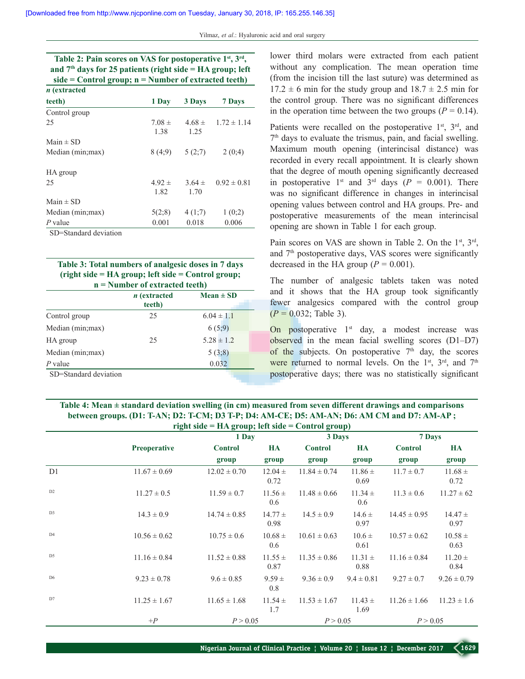| Table 2: Pain scores on VAS for postoperative 1 <sup>st</sup> , 3 <sup>rd</sup> , |            |            |                          |  |  |
|-----------------------------------------------------------------------------------|------------|------------|--------------------------|--|--|
| and $7th$ days for 25 patients (right side = HA group; left                       |            |            |                          |  |  |
| $side = Control group; n = Number of extracted teeth)$                            |            |            |                          |  |  |
| <i>n</i> (extracted                                                               |            |            |                          |  |  |
| teeth)                                                                            | 1 Day      | 3 Days     | 7 Days                   |  |  |
| Control group                                                                     |            |            |                          |  |  |
| 25                                                                                | $7.08 \pm$ |            | $4.68 \pm 1.72 \pm 1.14$ |  |  |
|                                                                                   | 1.38       | 1.25       |                          |  |  |
| Main $\pm$ SD                                                                     |            |            |                          |  |  |
| Median (min; max)                                                                 | 8 (4:9)    | 5(2,7)     | 2(0,4)                   |  |  |
| HA group                                                                          |            |            |                          |  |  |
| 25                                                                                | $4.92 \pm$ | $3.64 \pm$ | $0.92 \pm 0.81$          |  |  |
|                                                                                   | 1.82       | 1.70       |                          |  |  |
| Main $\pm$ SD                                                                     |            |            |                          |  |  |
| Median (min; max)                                                                 | 5(2,8)     | 4(1;7)     | 1(0;2)                   |  |  |
| P value                                                                           | 0.001      | 0.018      | 0.006                    |  |  |

SD=Standard deviation

**Table 3: Total numbers of analgesic doses in 7 days (right side = HA group; left side = Control group; n = Number of extracted teeth)**

|                       | <i>n</i> (extracted<br>teeth) | $Mean \pm SD$  |
|-----------------------|-------------------------------|----------------|
| Control group         | 25                            | $6.04 \pm 1.1$ |
| Median (min; max)     |                               | 6(5,9)         |
| HA group              | 25                            | $5.28 \pm 1.2$ |
| Median (min;max)      |                               | 5(3,8)         |
| $P$ value             |                               | 0.032          |
| SD=Standard deviation |                               |                |

lower third molars were extracted from each patient without any complication. The mean operation time (from the incision till the last suture) was determined as  $17.2 \pm 6$  min for the study group and  $18.7 \pm 2.5$  min for the control group. There was no significant differences in the operation time between the two groups  $(P = 0.14)$ .

Patients were recalled on the postoperative  $1<sup>st</sup>$ ,  $3<sup>rd</sup>$ , and  $7<sup>th</sup>$  days to evaluate the trismus, pain, and facial swelling. Maximum mouth opening (interincisal distance) was recorded in every recall appointment. It is clearly shown that the degree of mouth opening significantly decreased in postoperative 1<sup>st</sup> and 3<sup>rd</sup> days ( $P = 0.001$ ). There was no significant difference in changes in interincisal opening values between control and HA groups. Pre- and postoperative measurements of the mean interincisal opening are shown in Table 1 for each group.

Pain scores on VAS are shown in Table 2. On the  $1<sup>st</sup>$ ,  $3<sup>rd</sup>$ , and 7th postoperative days, VAS scores were significantly decreased in the HA group  $(P = 0.001)$ .

The number of analgesic tablets taken was noted and it shows that the HA group took significantly fewer analgesics compared with the control group  $(P = 0.032;$  Table 3).

On postoperative  $1<sup>st</sup>$  day, a modest increase was observed in the mean facial swelling scores (D1–D7) of the subjects. On postoperative  $7<sup>th</sup>$  day, the scores were returned to normal levels. On the  $1<sup>st</sup>$ ,  $3<sup>rd</sup>$ , and  $7<sup>th</sup>$ postoperative days; there was no statistically significant

#### **Table 4: Mean ± standard deviation swelling (in cm) measured from seven different drawings and comparisons between groups. (D1: T-AN; D2: T-CM; D3 T-P; D4: AM-CE; D5: AM-AN; D6: AM CM and D7: AM-AP ; right side = HA group; left side = Control group)**

|                |                     | $5 - 7 - 7$      |                     | $\mathbf{S}^{\text{even}}$ |                     |                  |                     |  |
|----------------|---------------------|------------------|---------------------|----------------------------|---------------------|------------------|---------------------|--|
|                |                     |                  | 1 Day               |                            | 3 Days              |                  | 7 Days              |  |
|                | <b>Preoperative</b> | <b>Control</b>   | HA                  | <b>Control</b>             | HA                  | <b>Control</b>   | HA                  |  |
|                |                     | group            | group               | group                      | group               | group            | group               |  |
| D <sub>1</sub> | $11.67 \pm 0.69$    | $12.02 \pm 0.70$ | $12.04 \pm$<br>0.72 | $11.84 \pm 0.74$           | $11.86 \pm$<br>0.69 | $11.7 \pm 0.7$   | $11.68 \pm$<br>0.72 |  |
| D <sub>2</sub> | $11.27 \pm 0.5$     | $11.59 \pm 0.7$  | $11.56 \pm$<br>0.6  | $11.48 \pm 0.66$           | $11.34 \pm$<br>0.6  | $11.3 \pm 0.6$   | $11.27 \pm 62$      |  |
| D <sub>3</sub> | $14.3 \pm 0.9$      | $14.74 \pm 0.85$ | $14.77 \pm$<br>0.98 | $14.5 \pm 0.9$             | $14.6 \pm$<br>0.97  | $14.45 \pm 0.95$ | $14.47 \pm$<br>0.97 |  |
| D <sub>4</sub> | $10.56 \pm 0.62$    | $10.75 \pm 0.6$  | $10.68 \pm$<br>0.6  | $10.61 \pm 0.63$           | $10.6 \pm$<br>0.61  | $10.57 \pm 0.62$ | $10.58 \pm$<br>0.63 |  |
| D <sub>5</sub> | $11.16 \pm 0.84$    | $11.52 \pm 0.88$ | $11.55 \pm$<br>0.87 | $11.35 \pm 0.86$           | $11.31 \pm$<br>0.88 | $11.16 \pm 0.84$ | $11.20 \pm$<br>0.84 |  |
| D <sub>6</sub> | $9.23 \pm 0.78$     | $9.6 \pm 0.85$   | $9.59 \pm$<br>0.8   | $9.36 \pm 0.9$             | $9.4 \pm 0.81$      | $9.27 \pm 0.7$   | $9.26 \pm 0.79$     |  |
| D7             | $11.25 \pm 1.67$    | $11.65 \pm 1.68$ | $11.54 \pm$<br>1.7  | $11.53 \pm 1.67$           | $11.43 \pm$<br>1.69 | $11.26 \pm 1.66$ | $11.23 \pm 1.6$     |  |
|                | $+P$                | P > 0.05         |                     | P > 0.05                   |                     | P > 0.05         |                     |  |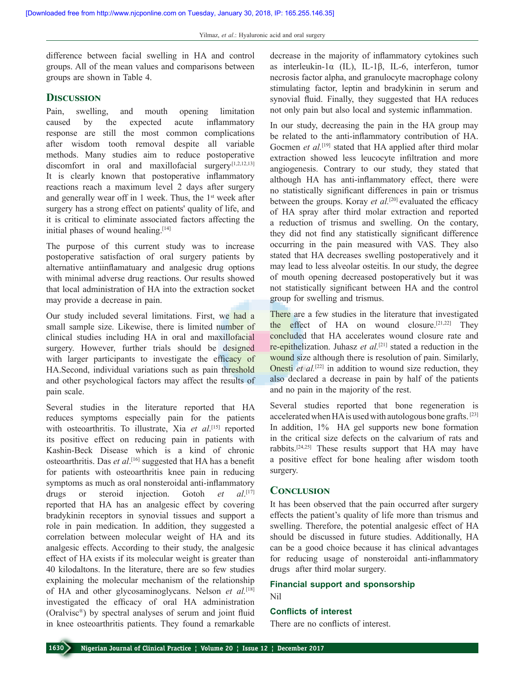difference between facial swelling in HA and control groups. All of the mean values and comparisons between groups are shown in Table 4.

#### **Discussion**

Pain, swelling, and mouth opening limitation caused by the expected acute inflammatory response are still the most common complications after wisdom tooth removal despite all variable methods. Many studies aim to reduce postoperative discomfort in oral and maxillofacial surgery.[1,2,12,13] It is clearly known that postoperative inflammatory reactions reach a maximum level 2 days after surgery and generally wear off in 1 week. Thus, the  $1<sup>st</sup>$  week after surgery has a strong effect on patients' quality of life, and it is critical to eliminate associated factors affecting the initial phases of wound healing.<sup>[14]</sup>

The purpose of this current study was to increase postoperative satisfaction of oral surgery patients by alternative antiinflamatuary and analgesic drug options with minimal adverse drug reactions. Our results showed that local administration of HA into the extraction socket may provide a decrease in pain.

Our study included several limitations. First, we had a small sample size. Likewise, there is limited number of clinical studies including HA in oral and maxillofacial surgery. However, further trials should be designed with larger participants to investigate the efficacy of HA.Second, individual variations such as pain threshold and other psychological factors may affect the results of pain scale.

Several studies in the literature reported that HA reduces symptoms especially pain for the patients with osteoarthritis. To illustrate, Xia et al.<sup>[15]</sup> reported its positive effect on reducing pain in patients with Kashin-Beck Disease which is a kind of chronic osteoarthritis. Das *et al*. [16] suggested that HA has a benefit for patients with osteoarthritis knee pain in reducing symptoms as much as oral nonsteroidal anti-inflammatory drugs or steroid injection. Gotoh *et*  $al$ <sup>[17]</sup> reported that HA has an analgesic effect by covering bradykinin receptors in synovial tissues and support a role in pain medication. In addition, they suggested a correlation between molecular weight of HA and its analgesic effects. According to their study, the analgesic effect of HA exists if its molecular weight is greater than 40 kilodaltons. In the literature, there are so few studies explaining the molecular mechanism of the relationship of HA and other glycosaminoglycans. Nelson *et al.*[18] investigated the efficacy of oral HA administration (Oralvisc®) by spectral analyses of serum and joint fluid in knee osteoarthritis patients. They found a remarkable

decrease in the majority of inflammatory cytokines such as interleukin-1α (IL), IL-1β, IL-6, interferon, tumor necrosis factor alpha, and granulocyte macrophage colony stimulating factor, leptin and bradykinin in serum and synovial fluid. Finally, they suggested that HA reduces not only pain but also local and systemic inflammation.

In our study, decreasing the pain in the HA group may be related to the anti-inflammatory contribution of HA. Gocmen *et al.*<sup>[19]</sup> stated that HA applied after third molar extraction showed less leucocyte infiltration and more angiogenesis. Contrary to our study, they stated that although HA has anti-inflammatory effect, there were no statistically significant differences in pain or trismus between the groups. Koray *et al.*<sup>[20]</sup> evaluated the efficacy of HA spray after third molar extraction and reported a reduction of trismus and swelling. On the contary, they did not find any statistically significant difference occurring in the pain measured with VAS. They also stated that HA decreases swelling postoperatively and it may lead to less alveolar osteitis. In our study, the degree of mouth opening decreased postoperatively but it was not statistically significant between HA and the control group for swelling and trismus.

There are a few studies in the literature that investigated the effect of HA on wound closure.<sup>[21,22]</sup> They concluded that HA accelerates wound closure rate and re-epithelization. Juhasz *et al.*[21] stated a reduction in the wound size although there is resolution of pain. Similarly, Onesti *et al.*<sup>[22]</sup> in addition to wound size reduction, they also declared a decrease in pain by half of the patients and no pain in the majority of the rest.

Several studies reported that bone regeneration is accelerated when HA is used with autologous bone grafts. [23] In addition, 1% HA gel supports new bone formation in the critical size defects on the calvarium of rats and rabbits.[24,25] These results support that HA may have a positive effect for bone healing after wisdom tooth surgery.

#### **Conclusion**

It has been observed that the pain occurred after surgery effects the patient's quality of life more than trismus and swelling. Therefore, the potential analgesic effect of HA should be discussed in future studies. Additionally, HA can be a good choice because it has clinical advantages for reducing usage of nonsteroidal anti-inflammatory drugs after third molar surgery.

## **Financial support and sponsorship**

Nil

#### **Conflicts of interest**

There are no conflicts of interest.